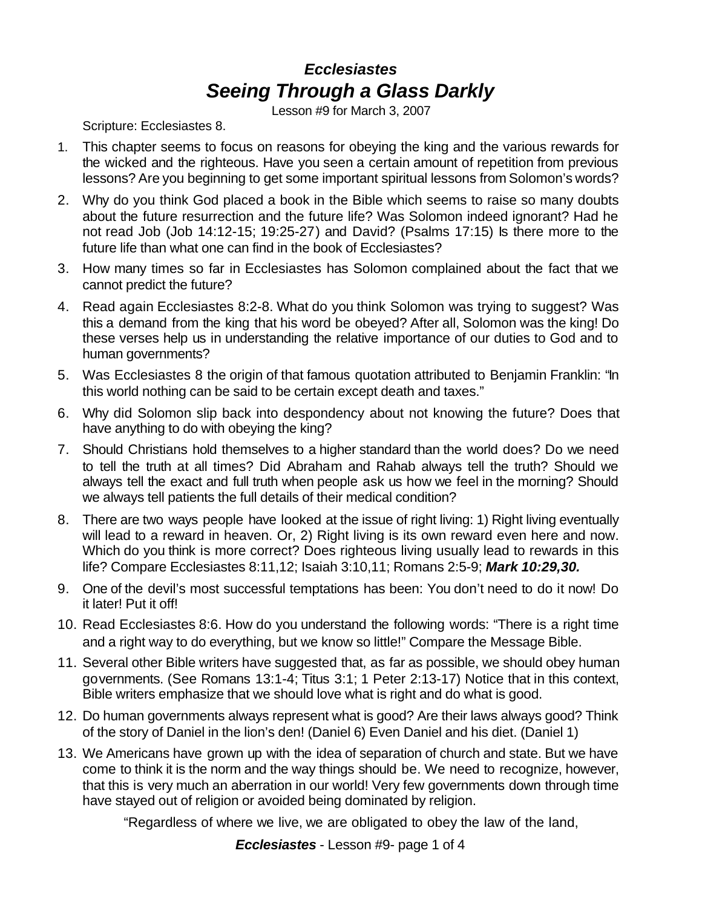## *Ecclesiastes Seeing Through a Glass Darkly*

Lesson #9 for March 3, 2007

Scripture: Ecclesiastes 8.

- 1. This chapter seems to focus on reasons for obeying the king and the various rewards for the wicked and the righteous. Have you seen a certain amount of repetition from previous lessons? Are you beginning to get some important spiritual lessons from Solomon's words?
- 2. Why do you think God placed a book in the Bible which seems to raise so many doubts about the future resurrection and the future life? Was Solomon indeed ignorant? Had he not read Job (Job 14:12-15; 19:25-27) and David? (Psalms 17:15) Is there more to the future life than what one can find in the book of Ecclesiastes?
- 3. How many times so far in Ecclesiastes has Solomon complained about the fact that we cannot predict the future?
- 4. Read again Ecclesiastes 8:2-8. What do you think Solomon was trying to suggest? Was this a demand from the king that his word be obeyed? After all, Solomon was the king! Do these verses help us in understanding the relative importance of our duties to God and to human governments?
- 5. Was Ecclesiastes 8 the origin of that famous quotation attributed to Benjamin Franklin: "In this world nothing can be said to be certain except death and taxes."
- 6. Why did Solomon slip back into despondency about not knowing the future? Does that have anything to do with obeying the king?
- 7. Should Christians hold themselves to a higher standard than the world does? Do we need to tell the truth at all times? Did Abraham and Rahab always tell the truth? Should we always tell the exact and full truth when people ask us how we feel in the morning? Should we always tell patients the full details of their medical condition?
- 8. There are two ways people have looked at the issue of right living: 1) Right living eventually will lead to a reward in heaven. Or, 2) Right living is its own reward even here and now. Which do you think is more correct? Does righteous living usually lead to rewards in this life? Compare Ecclesiastes 8:11,12; Isaiah 3:10,11; Romans 2:5-9; *Mark 10:29,30.*
- 9. One of the devil's most successful temptations has been: You don't need to do it now! Do it later! Put it off!
- 10. Read Ecclesiastes 8:6. How do you understand the following words: "There is a right time and a right way to do everything, but we know so little!" Compare the Message Bible.
- 11. Several other Bible writers have suggested that, as far as possible, we should obey human governments. (See Romans 13:1-4; Titus 3:1; 1 Peter 2:13-17) Notice that in this context, Bible writers emphasize that we should love what is right and do what is good.
- 12. Do human governments always represent what is good? Are their laws always good? Think of the story of Daniel in the lion's den! (Daniel 6) Even Daniel and his diet. (Daniel 1)
- 13. We Americans have grown up with the idea of separation of church and state. But we have come to think it is the norm and the way things should be. We need to recognize, however, that this is very much an aberration in our world! Very few governments down through time have stayed out of religion or avoided being dominated by religion.

"Regardless of where we live, we are obligated to obey the law of the land,

*Ecclesiastes* - Lesson #9- page 1 of 4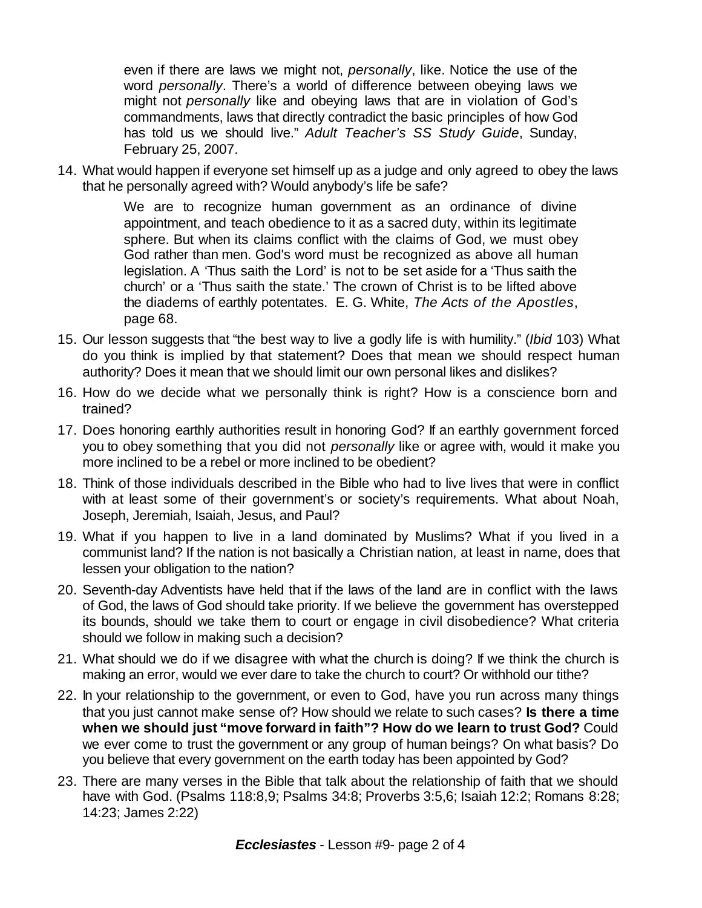even if there are laws we might not, *personally*, like. Notice the use of the word *personally*. There's a world of difference between obeying laws we might not *personally* like and obeying laws that are in violation of God's commandments, laws that directly contradict the basic principles of how God has told us we should live." *Adult Teacher's SS Study Guide*, Sunday, February 25, 2007.

14. What would happen if everyone set himself up as a judge and only agreed to obey the laws that he personally agreed with? Would anybody's life be safe?

> We are to recognize human government as an ordinance of divine appointment, and teach obedience to it as a sacred duty, within its legitimate sphere. But when its claims conflict with the claims of God, we must obey God rather than men. God's word must be recognized as above all human legislation. A 'Thus saith the Lord' is not to be set aside for a 'Thus saith the church' or a 'Thus saith the state.' The crown of Christ is to be lifted above the diadems of earthly potentates. E. G. White, *The Acts of the Apostles*, page 68.

- 15. Our lesson suggests that "the best way to live a godly life is with humility." (*Ibid* 103) What do you think is implied by that statement? Does that mean we should respect human authority? Does it mean that we should limit our own personal likes and dislikes?
- 16. How do we decide what we personally think is right? How is a conscience born and trained?
- 17. Does honoring earthly authorities result in honoring God? If an earthly government forced you to obey something that you did not *personally* like or agree with, would it make you more inclined to be a rebel or more inclined to be obedient?
- 18. Think of those individuals described in the Bible who had to live lives that were in conflict with at least some of their government's or society's requirements. What about Noah, Joseph, Jeremiah, Isaiah, Jesus, and Paul?
- 19. What if you happen to live in a land dominated by Muslims? What if you lived in a communist land? If the nation is not basically a Christian nation, at least in name, does that lessen your obligation to the nation?
- 20. Seventh-day Adventists have held that if the laws of the land are in conflict with the laws of God, the laws of God should take priority. If we believe the government has overstepped its bounds, should we take them to court or engage in civil disobedience? What criteria should we follow in making such a decision?
- 21. What should we do if we disagree with what the church is doing? If we think the church is making an error, would we ever dare to take the church to court? Or withhold our tithe?
- 22. In your relationship to the government, or even to God, have you run across many things that you just cannot make sense of? How should we relate to such cases? **Is there a time when we should just "move forward in faith"? How do we learn to trust God?** Could we ever come to trust the government or any group of human beings? On what basis? Do you believe that every government on the earth today has been appointed by God?
- 23. There are many verses in the Bible that talk about the relationship of faith that we should have with God. (Psalms 118:8,9; Psalms 34:8; Proverbs 3:5,6; Isaiah 12:2; Romans 8:28; 14:23; James 2:22)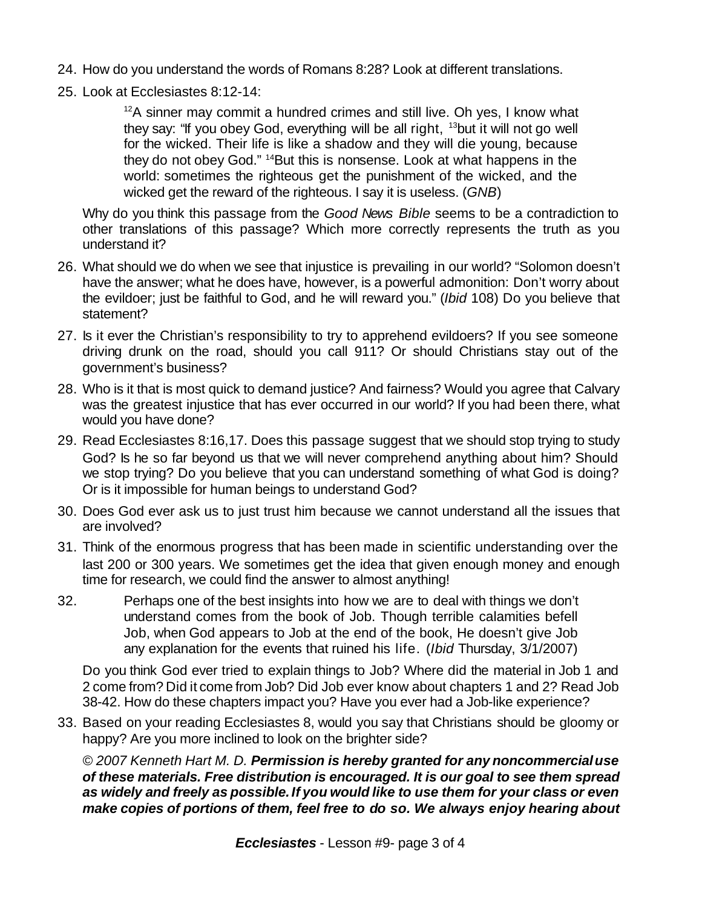- 24. How do you understand the words of Romans 8:28? Look at different translations.
- 25. Look at Ecclesiastes 8:12-14:

 $12A$  sinner may commit a hundred crimes and still live. Oh yes, I know what they say: "If you obey God, everything will be all right, <sup>13</sup>but it will not go well for the wicked. Their life is like a shadow and they will die young, because they do not obey God." <sup>14</sup>But this is nonsense. Look at what happens in the world: sometimes the righteous get the punishment of the wicked, and the wicked get the reward of the righteous. I say it is useless. (*GNB*)

Why do you think this passage from the *Good News Bible* seems to be a contradiction to other translations of this passage? Which more correctly represents the truth as you understand it?

- 26. What should we do when we see that injustice is prevailing in our world? "Solomon doesn't have the answer; what he does have, however, is a powerful admonition: Don't worry about the evildoer; just be faithful to God, and he will reward you." (*Ibid* 108) Do you believe that statement?
- 27. Is it ever the Christian's responsibility to try to apprehend evildoers? If you see someone driving drunk on the road, should you call 911? Or should Christians stay out of the government's business?
- 28. Who is it that is most quick to demand justice? And fairness? Would you agree that Calvary was the greatest injustice that has ever occurred in our world? If you had been there, what would you have done?
- 29. Read Ecclesiastes 8:16,17. Does this passage suggest that we should stop trying to study God? Is he so far beyond us that we will never comprehend anything about him? Should we stop trying? Do you believe that you can understand something of what God is doing? Or is it impossible for human beings to understand God?
- 30. Does God ever ask us to just trust him because we cannot understand all the issues that are involved?
- 31. Think of the enormous progress that has been made in scientific understanding over the last 200 or 300 years. We sometimes get the idea that given enough money and enough time for research, we could find the answer to almost anything!
- 32. Perhaps one of the best insights into how we are to deal with things we don't understand comes from the book of Job. Though terrible calamities befell Job, when God appears to Job at the end of the book, He doesn't give Job any explanation for the events that ruined his life. (*Ibid* Thursday, 3/1/2007)

Do you think God ever tried to explain things to Job? Where did the material in Job 1 and 2 come from? Did it come from Job? Did Job ever know about chapters 1 and 2? Read Job 38-42. How do these chapters impact you? Have you ever had a Job-like experience?

33. Based on your reading Ecclesiastes 8, would you say that Christians should be gloomy or happy? Are you more inclined to look on the brighter side?

*© 2007 Kenneth Hart M. D. Permission is hereby granted for any noncommercialuse of these materials. Free distribution is encouraged. It is our goal to see them spread as widely and freely as possible.If you would like to use them for your class or even make copies of portions of them, feel free to do so. We always enjoy hearing about*